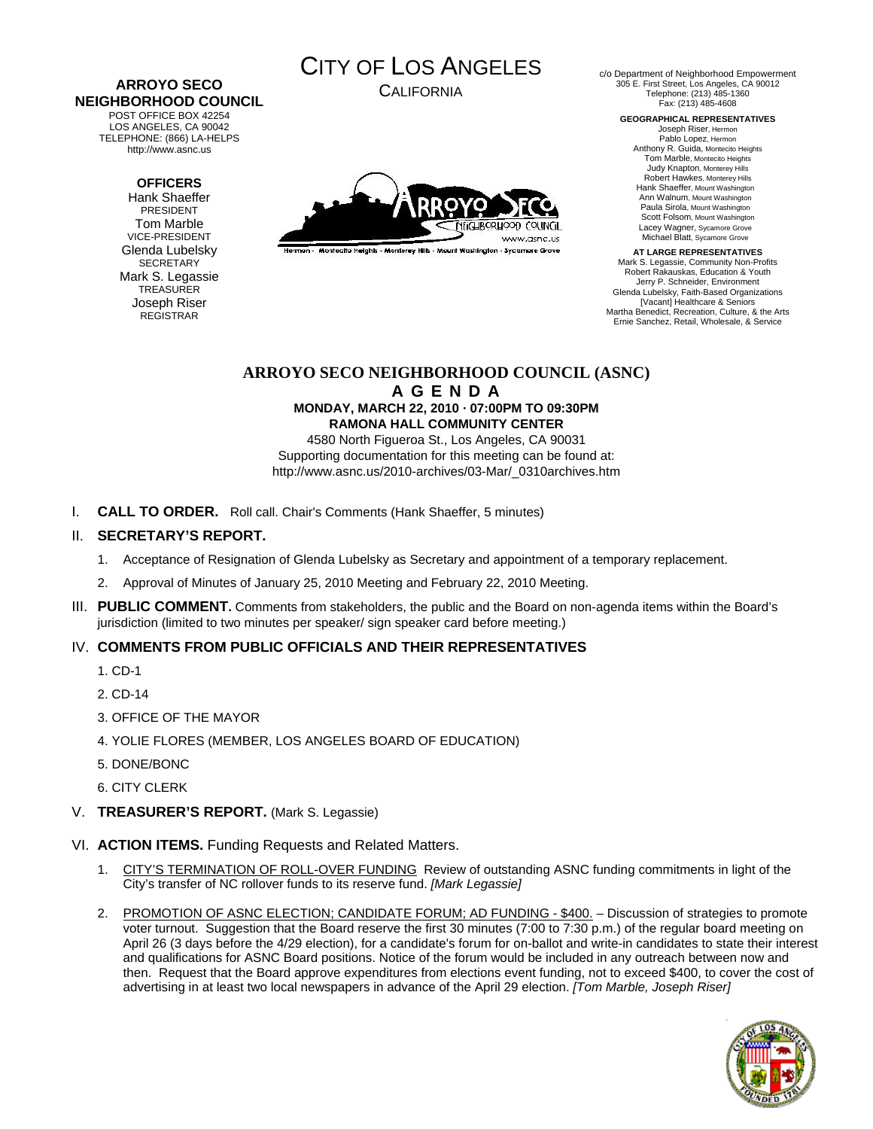#### **ARROYO SECO NEIGHBORHOOD COUNCIL**  POST OFFICE BOX 42254

LOS ANGELES, CA 90042 TELEPHONE: (866) LA-HELPS http://www.asnc.us

#### **OFFICERS**

Hank Shaeffer PRESIDENT Tom Marble VICE-PRESIDENT Glenda Lubelsky SECRETARY Mark S. Legassie **TREASURER** Joseph Riser REGISTRAR



CALIFORNIA



.<br>Hermon - Montecito Helahis - Monterey Hills - Mount Washington - Sycamore Grove

c/o Department of Neighborhood Empowerment 305 E. First Street, Los Angeles, CA 90012 Telephone: (213) 485-1360 Fax: (213) 485-4608

> **GEOGRAPHICAL REPRESENTATIVES**  Joseph Riser, Hermon

Pablo Lopez, Hermon Anthony R. Guida, Montecito Heights Tom Marble, Montecito Heights Judy Knapton, Monterey Hills Robert Hawkes, Monterey Hills Hank Shaeffer, Mount Washington Ann Walnum, Mount Washington Paula Sirola, Mount Washington Scott Folsom, Mount Washington Lacey Wagner, Sycamore Grove Michael Blatt, Sycamore Grove

**AT LARGE REPRESENTATIVES**  Mark S. Legassie, Community Non-Profits Robert Rakauskas, Education & Youth Jerry P. Schneider, Environment Glenda Lubelsky, Faith-Based Organizations [Vacant] Healthcare & Seniors Martha Benedict, Recreation, Culture, & the Arts Ernie Sanchez, Retail, Wholesale, & Service

#### **ARROYO SECO NEIGHBORHOOD COUNCIL (ASNC) A G E N D A MONDAY, MARCH 22, 2010 · 07:00PM TO 09:30PM RAMONA HALL COMMUNITY CENTER**

4580 North Figueroa St., Los Angeles, CA 90031 Supporting documentation for this meeting can be found at: http://www.asnc.us/2010-archives/03-Mar/\_0310archives.htm

I. **CALL TO ORDER.** Roll call. Chair's Comments (Hank Shaeffer, 5 minutes)

#### II. **SECRETARY'S REPORT.**

- 1. Acceptance of Resignation of Glenda Lubelsky as Secretary and appointment of a temporary replacement.
- 2. Approval of Minutes of January 25, 2010 Meeting and February 22, 2010 Meeting.
- III. **PUBLIC COMMENT.** Comments from stakeholders, the public and the Board on non-agenda items within the Board's jurisdiction (limited to two minutes per speaker/ sign speaker card before meeting.)

# IV. **COMMENTS FROM PUBLIC OFFICIALS AND THEIR REPRESENTATIVES**

- 1. CD-1
- 2. CD-14
- 3. OFFICE OF THE MAYOR
- 4. YOLIE FLORES (MEMBER, LOS ANGELES BOARD OF EDUCATION)
- 5. DONE/BONC
- 6. CITY CLERK
- V. **TREASURER'S REPORT.** (Mark S. Legassie)
- VI. **ACTION ITEMS.** Funding Requests and Related Matters.
	- 1. CITY'S TERMINATION OF ROLL-OVER FUNDING Review of outstanding ASNC funding commitments in light of the City's transfer of NC rollover funds to its reserve fund. *[Mark Legassie]*
	- 2. PROMOTION OF ASNC ELECTION; CANDIDATE FORUM; AD FUNDING \$400. Discussion of strategies to promote voter turnout. Suggestion that the Board reserve the first 30 minutes (7:00 to 7:30 p.m.) of the regular board meeting on April 26 (3 days before the 4/29 election), for a candidate's forum for on-ballot and write-in candidates to state their interest and qualifications for ASNC Board positions. Notice of the forum would be included in any outreach between now and then. Request that the Board approve expenditures from elections event funding, not to exceed \$400, to cover the cost of advertising in at least two local newspapers in advance of the April 29 election. *[Tom Marble, Joseph Riser]*

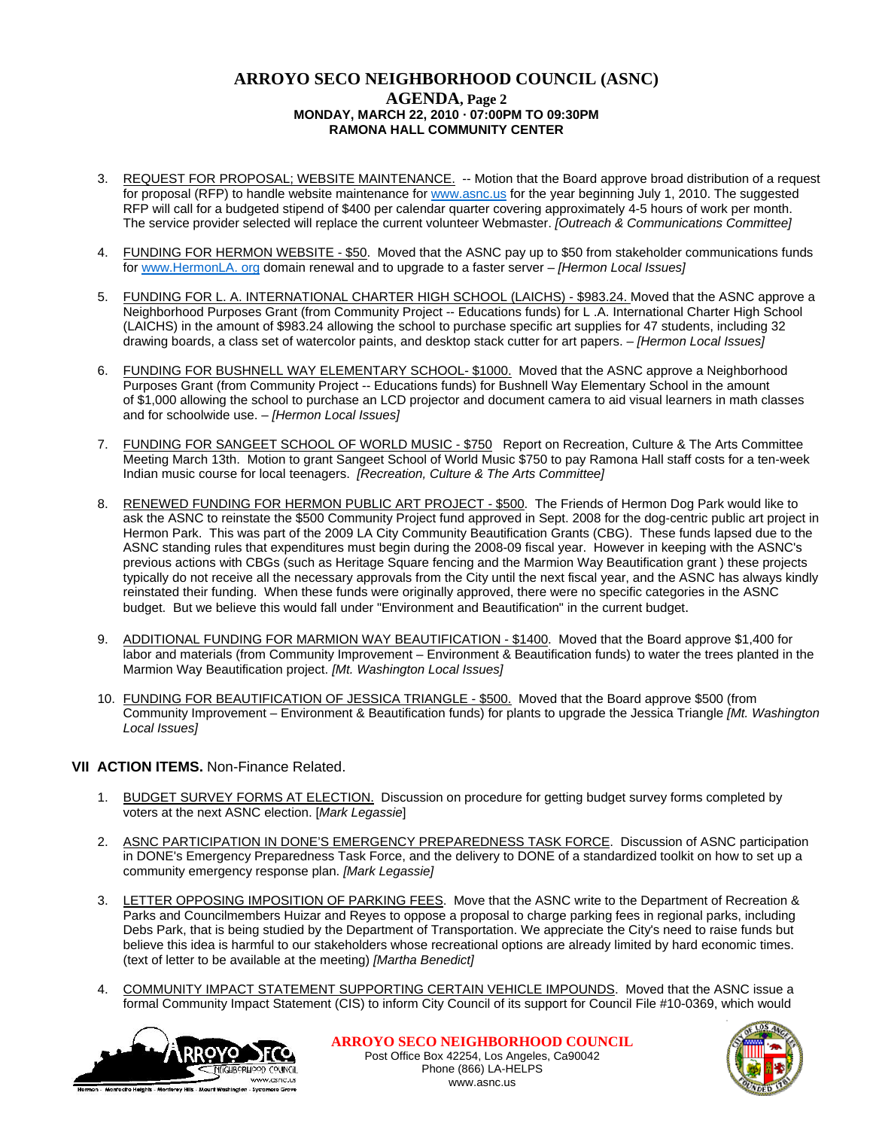# **ARROYO SECO NEIGHBORHOOD COUNCIL (ASNC) AGENDA, Page 2 MONDAY, MARCH 22, 2010 · 07:00PM TO 09:30PM RAMONA HALL COMMUNITY CENTER**

- 3. REQUEST FOR PROPOSAL; WEBSITE MAINTENANCE. -- Motion that the Board approve broad distribution of a request for proposal (RFP) to handle website maintenance for [www.asnc.us](http://www.asnc.us/) for the year beginning July 1, 2010. The suggested RFP will call for a budgeted stipend of \$400 per calendar quarter covering approximately 4-5 hours of work per month. The service provider selected will replace the current volunteer Webmaster. *[Outreach & Communications Committee]*
- 4. FUNDING FOR HERMON WEBSITE \$50. Moved that the ASNC pay up to \$50 from stakeholder communications funds for [www.HermonLA. org](http://www.hermonla.org/) domain renewal and to upgrade to a faster server – *[Hermon Local Issues]*
- 5. FUNDING FOR L. A. INTERNATIONAL CHARTER HIGH SCHOOL (LAICHS) \$983.24. Moved that the ASNC approve a Neighborhood Purposes Grant (from Community Project -- Educations funds) for L .A. International Charter High School (LAICHS) in the amount of \$983.24 allowing the school to purchase specific art supplies for 47 students, including 32 drawing boards, a class set of watercolor paints, and desktop stack cutter for art papers. – *[Hermon Local Issues]*
- 6. FUNDING FOR BUSHNELL WAY ELEMENTARY SCHOOL- \$1000. Moved that the ASNC approve a Neighborhood Purposes Grant (from Community Project -- Educations funds) for Bushnell Way Elementary School in the amount of \$1,000 allowing the school to purchase an LCD projector and document camera to aid visual learners in math classes and for schoolwide use. – *[Hermon Local Issues]*
- 7. FUNDING FOR SANGEET SCHOOL OF WORLD MUSIC \$750 Report on Recreation, Culture & The Arts Committee Meeting March 13th. Motion to grant Sangeet School of World Music \$750 to pay Ramona Hall staff costs for a ten-week Indian music course for local teenagers. *[Recreation, Culture & The Arts Committee]*
- 8. RENEWED FUNDING FOR HERMON PUBLIC ART PROJECT \$500. The Friends of Hermon Dog Park would like to ask the ASNC to reinstate the \$500 Community Project fund approved in Sept. 2008 for the dog-centric public art project in Hermon Park. This was part of the 2009 LA City Community Beautification Grants (CBG). These funds lapsed due to the ASNC standing rules that expenditures must begin during the 2008-09 fiscal year. However in keeping with the ASNC's previous actions with CBGs (such as Heritage Square fencing and the Marmion Way Beautification grant ) these projects typically do not receive all the necessary approvals from the City until the next fiscal year, and the ASNC has always kindly reinstated their funding. When these funds were originally approved, there were no specific categories in the ASNC budget. But we believe this would fall under "Environment and Beautification" in the current budget.
- 9. ADDITIONAL FUNDING FOR MARMION WAY BEAUTIFICATION \$1400. Moved that the Board approve \$1,400 for labor and materials (from Community Improvement – Environment & Beautification funds) to water the trees planted in the Marmion Way Beautification project. *[Mt. Washington Local Issues]*
- 10. FUNDING FOR BEAUTIFICATION OF JESSICA TRIANGLE \$500. Moved that the Board approve \$500 (from Community Improvement – Environment & Beautification funds) for plants to upgrade the Jessica Triangle *[Mt. Washington Local Issues]*

# **VII ACTION ITEMS.** Non-Finance Related.

- 1. BUDGET SURVEY FORMS AT ELECTION. Discussion on procedure for getting budget survey forms completed by voters at the next ASNC election. [*Mark Legassie*]
- 2. ASNC PARTICIPATION IN DONE'S EMERGENCY PREPAREDNESS TASK FORCE. Discussion of ASNC participation in DONE's Emergency Preparedness Task Force, and the delivery to DONE of a standardized toolkit on how to set up a community emergency response plan. *[Mark Legassie]*
- 3. LETTER OPPOSING IMPOSITION OF PARKING FEES. Move that the ASNC write to the Department of Recreation & Parks and Councilmembers Huizar and Reyes to oppose a proposal to charge parking fees in regional parks, including Debs Park, that is being studied by the Department of Transportation. We appreciate the City's need to raise funds but believe this idea is harmful to our stakeholders whose recreational options are already limited by hard economic times. (text of letter to be available at the meeting) *[Martha Benedict]*
- 4. COMMUNITY IMPACT STATEMENT SUPPORTING CERTAIN VEHICLE IMPOUNDS. Moved that the ASNC issue a formal Community Impact Statement (CIS) to inform City Council of its support for Council File #10-0369, which would



**ARROYO SECO NEIGHBORHOOD COUNCIL** Post Office Box 42254, Los Angeles, Ca90042 Phone (866) LA-HELPS www.asnc.us

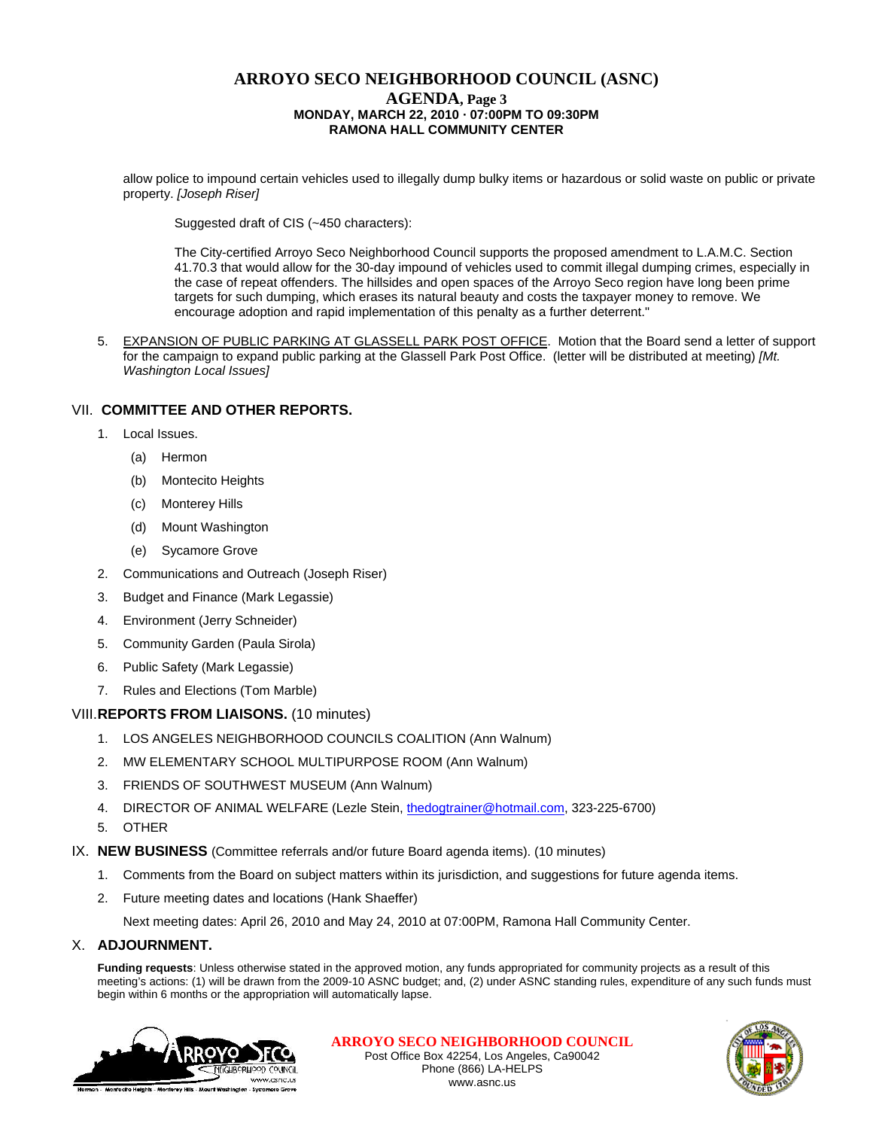# **ARROYO SECO NEIGHBORHOOD COUNCIL (ASNC) AGENDA, Page 3 MONDAY, MARCH 22, 2010 · 07:00PM TO 09:30PM RAMONA HALL COMMUNITY CENTER**

allow police to impound certain vehicles used to illegally dump bulky items or hazardous or solid waste on public or private property. *[Joseph Riser]*

Suggested draft of CIS (~450 characters):

 The City-certified Arroyo Seco Neighborhood Council supports the proposed amendment to L.A.M.C. Section 41.70.3 that would allow for the 30-day impound of vehicles used to commit illegal dumping crimes, especially in the case of repeat offenders. The hillsides and open spaces of the Arroyo Seco region have long been prime targets for such dumping, which erases its natural beauty and costs the taxpayer money to remove. We encourage adoption and rapid implementation of this penalty as a further deterrent."

5. EXPANSION OF PUBLIC PARKING AT GLASSELL PARK POST OFFICE. Motion that the Board send a letter of support for the campaign to expand public parking at the Glassell Park Post Office. (letter will be distributed at meeting) *[Mt. Washington Local Issues]* 

# VII. **COMMITTEE AND OTHER REPORTS.**

- 1. Local Issues.
	- (a) Hermon
	- (b) Montecito Heights
	- (c) Monterey Hills
	- (d) Mount Washington
	- (e) Sycamore Grove
- 2. Communications and Outreach (Joseph Riser)
- 3. Budget and Finance (Mark Legassie)
- 4. Environment (Jerry Schneider)
- 5. Community Garden (Paula Sirola)
- 6. Public Safety (Mark Legassie)
- 7. Rules and Elections (Tom Marble)

#### VIII.**REPORTS FROM LIAISONS.** (10 minutes)

- 1. LOS ANGELES NEIGHBORHOOD COUNCILS COALITION (Ann Walnum)
- 2. MW ELEMENTARY SCHOOL MULTIPURPOSE ROOM (Ann Walnum)
- 3. FRIENDS OF SOUTHWEST MUSEUM (Ann Walnum)
- 4. DIRECTOR OF ANIMAL WELFARE (Lezle Stein, [thedogtrainer@hotmail.com](mailto:thedogtrainer@hotmail.com), 323-225-6700)
- 5. OTHER
- IX. **NEW BUSINESS** (Committee referrals and/or future Board agenda items). (10 minutes)
	- 1. Comments from the Board on subject matters within its jurisdiction, and suggestions for future agenda items.
	- 2. Future meeting dates and locations (Hank Shaeffer)

Next meeting dates: April 26, 2010 and May 24, 2010 at 07:00PM, Ramona Hall Community Center.

#### X. **ADJOURNMENT.**

**Funding requests**: Unless otherwise stated in the approved motion, any funds appropriated for community projects as a result of this meeting's actions: (1) will be drawn from the 2009-10 ASNC budget; and, (2) under ASNC standing rules, expenditure of any such funds must begin within 6 months or the appropriation will automatically lapse.



**ARROYO SECO NEIGHBORHOOD COUNCIL** Post Office Box 42254, Los Angeles, Ca90042 Phone (866) LA-HELPS www.asnc.us